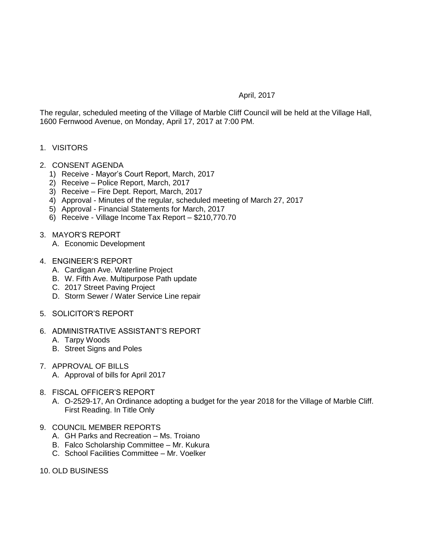## April, 2017

The regular, scheduled meeting of the Village of Marble Cliff Council will be held at the Village Hall, 1600 Fernwood Avenue, on Monday, April 17, 2017 at 7:00 PM.

- 1. VISITORS
- 2. CONSENT AGENDA
	- 1) Receive Mayor's Court Report, March, 2017
	- 2) Receive Police Report, March, 2017
	- 3) Receive Fire Dept. Report, March, 2017
	- 4) Approval Minutes of the regular, scheduled meeting of March 27, 2017
	- 5) Approval Financial Statements for March, 2017
	- 6) Receive Village Income Tax Report \$210,770.70
- 3. MAYOR'S REPORT
	- A. Economic Development
- 4. ENGINEER'S REPORT
	- A. Cardigan Ave. Waterline Project
	- B. W. Fifth Ave. Multipurpose Path update
	- C. 2017 Street Paving Project
	- D. Storm Sewer / Water Service Line repair
- 5. SOLICITOR'S REPORT
- 6. ADMINISTRATIVE ASSISTANT'S REPORT
	- A. Tarpy Woods
	- B. Street Signs and Poles
- 7. APPROVAL OF BILLS
	- A. Approval of bills for April 2017
- 8. FISCAL OFFICER'S REPORT
	- A. O-2529-17, An Ordinance adopting a budget for the year 2018 for the Village of Marble Cliff. First Reading. In Title Only
- 9. COUNCIL MEMBER REPORTS
	- A. GH Parks and Recreation Ms. Troiano
	- B. Falco Scholarship Committee Mr. Kukura
	- C. School Facilities Committee Mr. Voelker
- 10. OLD BUSINESS